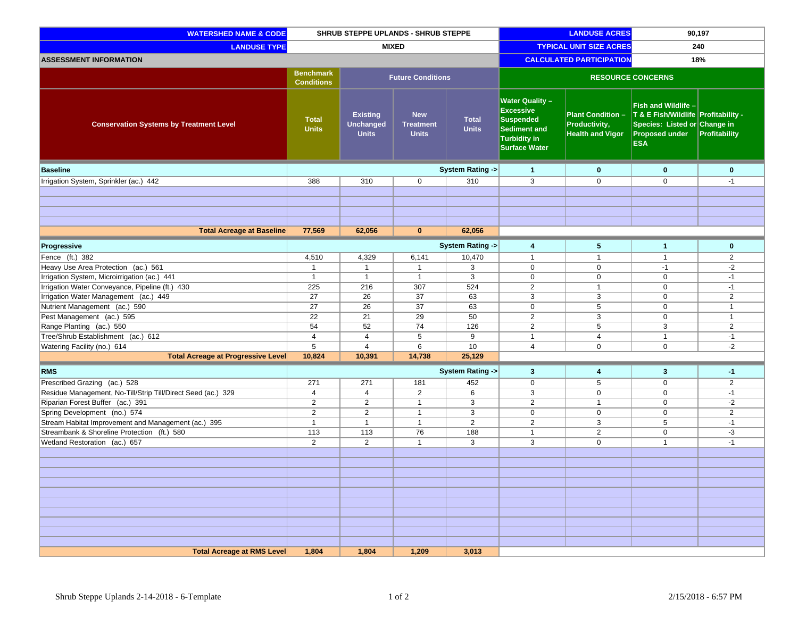| <b>WATERSHED NAME &amp; CODE</b>                             | SHRUB STEPPE UPLANDS - SHRUB STEPPE                               |                                                     |                                                | <b>LANDUSE ACRES</b>            |                                                                                                                        | 90,197                                                               |                                                                                                                                   |                |
|--------------------------------------------------------------|-------------------------------------------------------------------|-----------------------------------------------------|------------------------------------------------|---------------------------------|------------------------------------------------------------------------------------------------------------------------|----------------------------------------------------------------------|-----------------------------------------------------------------------------------------------------------------------------------|----------------|
| <b>LANDUSE TYPE</b>                                          | <b>MIXED</b>                                                      |                                                     |                                                | <b>TYPICAL UNIT SIZE ACRES</b>  |                                                                                                                        | 240                                                                  |                                                                                                                                   |                |
| <b>ASSESSMENT INFORMATION</b>                                |                                                                   |                                                     |                                                | <b>CALCULATED PARTICIPATION</b> |                                                                                                                        | 18%                                                                  |                                                                                                                                   |                |
|                                                              | <b>Benchmark</b><br><b>Future Conditions</b><br><b>Conditions</b> |                                                     |                                                | <b>RESOURCE CONCERNS</b>        |                                                                                                                        |                                                                      |                                                                                                                                   |                |
| <b>Conservation Systems by Treatment Level</b>               | <b>Total</b><br><b>Units</b>                                      | <b>Existing</b><br><b>Unchanged</b><br><b>Units</b> | <b>New</b><br><b>Treatment</b><br><b>Units</b> | <b>Total</b><br><b>Units</b>    | <b>Water Quality -</b><br><b>Excessive</b><br><b>Suspended</b><br>Sediment and<br>Turbidity in<br><b>Surface Water</b> | <b>Plant Condition -</b><br>Productivity,<br><b>Health and Vigor</b> | Fish and Wildlife -<br>T & E Fish/Wildlife Profitability -<br>Species: Listed or Change in<br><b>Proposed under</b><br><b>ESA</b> | Profitability  |
| <b>Baseline</b>                                              |                                                                   |                                                     |                                                | <b>System Rating -&gt;</b>      | $\mathbf{1}$                                                                                                           | $\mathbf{0}$                                                         | $\bf{0}$                                                                                                                          | $\mathbf 0$    |
| Irrigation System, Sprinkler (ac.) 442                       | 388                                                               | 310                                                 | $\mathbf 0$                                    | 310                             | $\overline{3}$                                                                                                         | $\mathbf 0$                                                          | $\mathbf 0$                                                                                                                       | $-1$           |
|                                                              |                                                                   |                                                     |                                                |                                 |                                                                                                                        |                                                                      |                                                                                                                                   |                |
|                                                              |                                                                   |                                                     |                                                |                                 |                                                                                                                        |                                                                      |                                                                                                                                   |                |
|                                                              |                                                                   |                                                     |                                                |                                 |                                                                                                                        |                                                                      |                                                                                                                                   |                |
|                                                              |                                                                   |                                                     |                                                |                                 |                                                                                                                        |                                                                      |                                                                                                                                   |                |
| <b>Total Acreage at Baseline</b>                             | 77,569                                                            | 62,056                                              | $\mathbf{0}$                                   | 62,056                          |                                                                                                                        |                                                                      |                                                                                                                                   |                |
| Progressive                                                  |                                                                   |                                                     |                                                | System Rating ->                | 4                                                                                                                      | 5                                                                    | $\mathbf{1}$                                                                                                                      | $\mathbf 0$    |
| Fence (ft.) 382                                              | 4,510                                                             | 4,329                                               | 6,141                                          | 10,470                          | $\mathbf{1}$                                                                                                           | $\overline{1}$                                                       | $\overline{1}$                                                                                                                    | $\overline{2}$ |
| Heavy Use Area Protection (ac.) 561                          | $\overline{1}$                                                    | $\overline{1}$                                      | $\overline{1}$                                 | 3                               | $\mathbf 0$                                                                                                            | $\mathbf 0$                                                          | $-1$                                                                                                                              | $-2$           |
| Irrigation System, Microirrigation (ac.) 441                 | $\overline{1}$                                                    | $\mathbf{1}$                                        | $\mathbf{1}$                                   | 3                               | $\mathbf 0$                                                                                                            | 0                                                                    | $\mathbf 0$                                                                                                                       | $-1$           |
| Irrigation Water Conveyance, Pipeline (ft.) 430              | 225                                                               | 216                                                 | 307                                            | 524                             | $\overline{2}$                                                                                                         | $\overline{1}$                                                       | $\mathbf 0$                                                                                                                       | $-1$           |
| Irrigation Water Management (ac.) 449                        | 27                                                                | 26                                                  | 37                                             | 63                              | 3                                                                                                                      | 3                                                                    | $\mathbf 0$                                                                                                                       | $\overline{2}$ |
| Nutrient Management (ac.) 590                                | 27                                                                | 26                                                  | 37                                             | 63                              | $\mathbf 0$                                                                                                            | 5                                                                    | $\mathbf 0$                                                                                                                       | $\mathbf{1}$   |
| Pest Management (ac.) 595                                    | 22                                                                | 21                                                  | 29                                             | 50                              | $\overline{2}$                                                                                                         | 3                                                                    | $\boldsymbol{0}$                                                                                                                  | $\mathbf{1}$   |
| Range Planting (ac.) 550                                     | 54                                                                | 52                                                  | 74                                             | 126                             | $\overline{2}$                                                                                                         | 5                                                                    | 3                                                                                                                                 | $\overline{2}$ |
| Tree/Shrub Establishment (ac.) 612                           | 4                                                                 | $\overline{4}$                                      | 5                                              | 9                               | $\mathbf{1}$                                                                                                           | 4                                                                    | $\mathbf{1}$                                                                                                                      | $-1$           |
| Watering Facility (no.) 614                                  | 5                                                                 | $\overline{4}$                                      | 6                                              | 10                              | $\overline{4}$                                                                                                         | $\mathbf 0$                                                          | $\mathbf 0$                                                                                                                       | $-2$           |
| <b>Total Acreage at Progressive Level</b>                    | 10,824                                                            | 10,391                                              | 14,738                                         | 25,129                          |                                                                                                                        |                                                                      |                                                                                                                                   |                |
| <b>RMS</b>                                                   |                                                                   |                                                     |                                                | <b>System Rating -&gt;</b>      | $\mathbf{3}$                                                                                                           | 4                                                                    | $\mathbf{3}$                                                                                                                      | -1             |
| Prescribed Grazing (ac.) 528                                 | 271                                                               | 271                                                 | 181                                            | 452                             | $\mathbf 0$                                                                                                            | 5                                                                    | $\mathbf 0$                                                                                                                       | $\overline{2}$ |
| Residue Management, No-Till/Strip Till/Direct Seed (ac.) 329 | $\overline{4}$                                                    | $\overline{4}$                                      | $\overline{2}$                                 | 6                               | $\overline{3}$                                                                                                         | $\mathbf 0$                                                          | $\mathbf 0$                                                                                                                       | $-1$           |
| Riparian Forest Buffer (ac.) 391                             | $\overline{2}$                                                    | $\overline{2}$                                      | $\mathbf{1}$                                   | 3                               | $\overline{2}$                                                                                                         | $\overline{1}$                                                       | $\mathbf 0$                                                                                                                       | $-2$           |
| Spring Development (no.) 574                                 | $\overline{2}$                                                    | $\overline{2}$                                      | $\mathbf{1}$                                   | 3                               | $\mathbf 0$                                                                                                            | $\mathbf 0$                                                          | $\mathbf 0$                                                                                                                       | $\overline{2}$ |
| Stream Habitat Improvement and Management (ac.) 395          | $\overline{1}$                                                    | $\mathbf{1}$                                        | $\mathbf{1}$                                   | $\overline{2}$                  | $\overline{2}$                                                                                                         | 3                                                                    | 5                                                                                                                                 | $-1$           |
| Streambank & Shoreline Protection (ft.) 580                  | 113                                                               | 113                                                 | 76                                             | 188                             | $\mathbf{1}$                                                                                                           | 2                                                                    | $\mathbf 0$                                                                                                                       | -3             |
| Wetland Restoration (ac.) 657                                | $\overline{2}$                                                    | $\overline{2}$                                      | $\mathbf{1}$                                   | 3                               | 3                                                                                                                      | $\mathbf 0$                                                          | $\mathbf{1}$                                                                                                                      | $-1$           |
|                                                              |                                                                   |                                                     |                                                |                                 |                                                                                                                        |                                                                      |                                                                                                                                   |                |
|                                                              |                                                                   |                                                     |                                                |                                 |                                                                                                                        |                                                                      |                                                                                                                                   |                |
|                                                              |                                                                   |                                                     |                                                |                                 |                                                                                                                        |                                                                      |                                                                                                                                   |                |
|                                                              |                                                                   |                                                     |                                                |                                 |                                                                                                                        |                                                                      |                                                                                                                                   |                |
|                                                              |                                                                   |                                                     |                                                |                                 |                                                                                                                        |                                                                      |                                                                                                                                   |                |
|                                                              |                                                                   |                                                     |                                                |                                 |                                                                                                                        |                                                                      |                                                                                                                                   |                |
|                                                              |                                                                   |                                                     |                                                |                                 |                                                                                                                        |                                                                      |                                                                                                                                   |                |
|                                                              |                                                                   |                                                     |                                                |                                 |                                                                                                                        |                                                                      |                                                                                                                                   |                |
|                                                              |                                                                   |                                                     |                                                |                                 |                                                                                                                        |                                                                      |                                                                                                                                   |                |
| <b>Total Acreage at RMS Level</b>                            | 1,804                                                             | 1,804                                               | 1,209                                          | 3,013                           |                                                                                                                        |                                                                      |                                                                                                                                   |                |